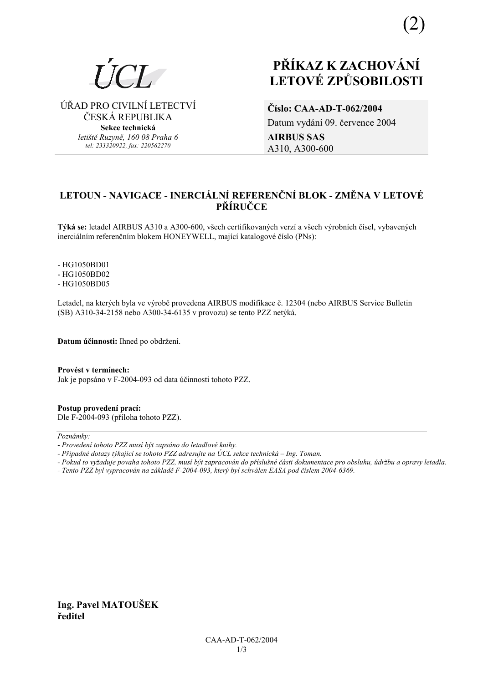

⁄ŘAD PRO CIVILNÕ LETECTVÕ ČESKÁ REPUBLIKA **Sekce technická** *letiötě Ruzyně, 160 08 Praha 6 tel: 233320922, fax: 220562270*

# **PŘÍKAZ K ZACHOVÁNÍ LETOV… ZPŮSOBILOSTI**

**ČÌslo: CAA-AD-T-062/2004**  Datum vydání 09. července 2004 **AIRBUS SAS**  A310, A300-600

## **LETOUN - NAVIGACE - INERCIÁLNÍ REFERENČNÍ BLOK - ZMĚNA V LETOVÉ PŘÕRUČCE**

Týká se: letadel AIRBUS A310 a A300-600, všech certifikovaných verzí a všech výrobních čísel, vybavených inerciálním referenčním blokem HONEYWELL, mající katalogové číslo (PNs):

- HG1050BD01 - HG1050BD02 - HG1050BD05

Letadel, na kterých byla ve výrobě provedena AIRBUS modifikace č. 12304 (nebo AIRBUS Service Bulletin (SB) A310-34-2158 nebo A300-34-6135 v provozu) se tento PZZ netýká.

**Datum účinnosti:** Ihned po obdržení.

Provést v termínech: Jak je popsáno v F-2004-093 od data účinnosti tohoto PZZ.

**Postup provedenÌ pracÌ:**  Dle F-2004-093 (přÌloha tohoto PZZ).

 $Poznámkv:$ 

- *Pokud to vyûaduje povaha tohoto PZZ, musÌ b˝t zapracov·n do přÌsluönÈ č·sti dokumentace pro obsluhu, ˙drûbu a opravy letadla.*
- *Tento PZZ byl vypracov·n na z·kladě F-2004-093, kter˝ byl schv·len EASA pod čÌslem 2004-6369.*

**Ing. Pavel MATOUäEK ředitel** 

*<sup>-</sup> ProvedenÌ tohoto PZZ musÌ b˝t zaps·no do letadlovÈ knihy.* 

<sup>-</sup> Případné dotazy týkající se tohoto PZZ adresujte na ÚCL sekce technická – Ing. Toman.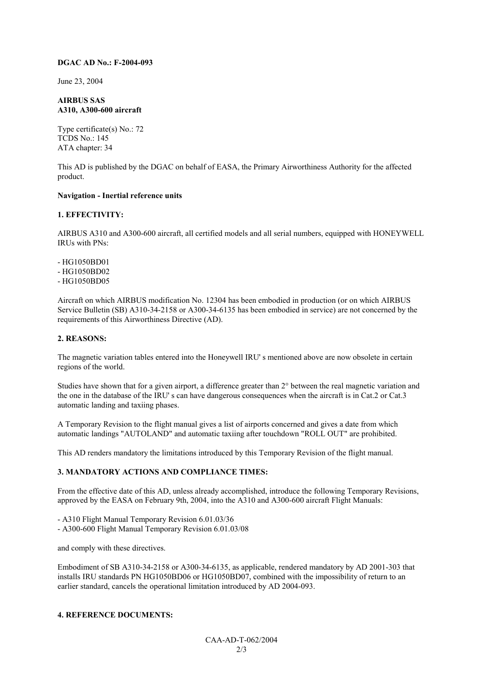#### **DGAC AD No.: F-2004-093**

June 23, 2004

#### **AIRBUS SAS A310, A300-600 aircraft**

Type certificate(s) No.: 72 TCDS No.: 145 ATA chapter: 34

This AD is published by the DGAC on behalf of EASA, the Primary Airworthiness Authority for the affected product.

#### **Navigation - Inertial reference units**

#### **1. EFFECTIVITY:**

AIRBUS A310 and A300-600 aircraft, all certified models and all serial numbers, equipped with HONEYWELL IRUs with PNs:

- HG1050BD01 - HG1050BD02 - HG1050BD05

Aircraft on which AIRBUS modification No. 12304 has been embodied in production (or on which AIRBUS Service Bulletin (SB) A310-34-2158 or A300-34-6135 has been embodied in service) are not concerned by the requirements of this Airworthiness Directive (AD).

#### **2. REASONS:**

The magnetic variation tables entered into the Honeywell IRU' s mentioned above are now obsolete in certain regions of the world.

Studies have shown that for a given airport, a difference greater than 2° between the real magnetic variation and the one in the database of the IRU' s can have dangerous consequences when the aircraft is in Cat.2 or Cat.3 automatic landing and taxiing phases.

A Temporary Revision to the flight manual gives a list of airports concerned and gives a date from which automatic landings "AUTOLAND" and automatic taxiing after touchdown "ROLL OUT" are prohibited.

This AD renders mandatory the limitations introduced by this Temporary Revision of the flight manual.

#### **3. MANDATORY ACTIONS AND COMPLIANCE TIMES:**

From the effective date of this AD, unless already accomplished, introduce the following Temporary Revisions, approved by the EASA on February 9th, 2004, into the A310 and A300-600 aircraft Flight Manuals:

- A310 Flight Manual Temporary Revision 6.01.03/36

- A300-600 Flight Manual Temporary Revision 6.01.03/08

and comply with these directives.

Embodiment of SB A310-34-2158 or A300-34-6135, as applicable, rendered mandatory by AD 2001-303 that installs IRU standards PN HG1050BD06 or HG1050BD07, combined with the impossibility of return to an earlier standard, cancels the operational limitation introduced by AD 2004-093.

#### **4. REFERENCE DOCUMENTS:**